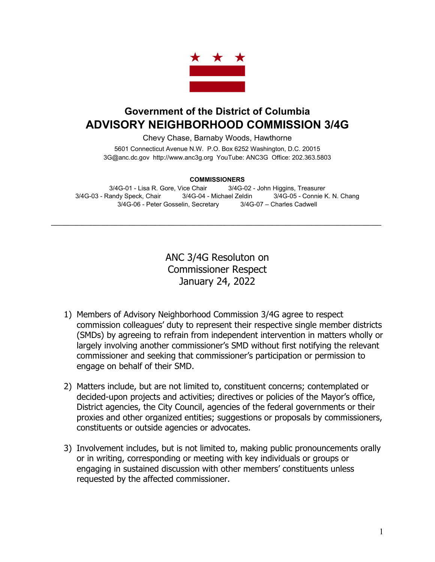

## **Government of the District of Columbia ADVISORY NEIGHBORHOOD COMMISSION 3/4G**

Chevy Chase, Barnaby Woods, Hawthorne

5601 Connecticut Avenue N.W. P.O. Box 6252 Washington, D.C. 20015 3G@anc.dc.gov [http://www.anc3g.org](http://www.anc3g.org/) YouTube: ANC3G Office: 202.363.5803

## **COMMISSIONERS**

3/4G-01 - Lisa R. Gore, Vice Chair 3/4G-02 - John Higgins, Treasurer 3/4G-03 - Randy Speck, Chair 3/4G-04 - Michael Zeldin 3/4G-05 - Connie K. N. Chang 3/4G-06 - Peter Gosselin, Secretary 3/4G-07 – Charles Cadwell

 $\mathcal{L}_\text{max}$  and  $\mathcal{L}_\text{max}$  and  $\mathcal{L}_\text{max}$  and  $\mathcal{L}_\text{max}$  and  $\mathcal{L}_\text{max}$  and  $\mathcal{L}_\text{max}$ 

ANC 3/4G Resoluton on Commissioner Respect January 24, 2022

- 1) Members of Advisory Neighborhood Commission 3/4G agree to respect commission colleagues' duty to represent their respective single member districts (SMDs) by agreeing to refrain from independent intervention in matters wholly or largely involving another commissioner's SMD without first notifying the relevant commissioner and seeking that commissioner's participation or permission to engage on behalf of their SMD.
- 2) Matters include, but are not limited to, constituent concerns; contemplated or decided-upon projects and activities; directives or policies of the Mayor's office, District agencies, the City Council, agencies of the federal governments or their proxies and other organized entities; suggestions or proposals by commissioners, constituents or outside agencies or advocates.
- 3) Involvement includes, but is not limited to, making public pronouncements orally or in writing, corresponding or meeting with key individuals or groups or engaging in sustained discussion with other members' constituents unless requested by the affected commissioner.